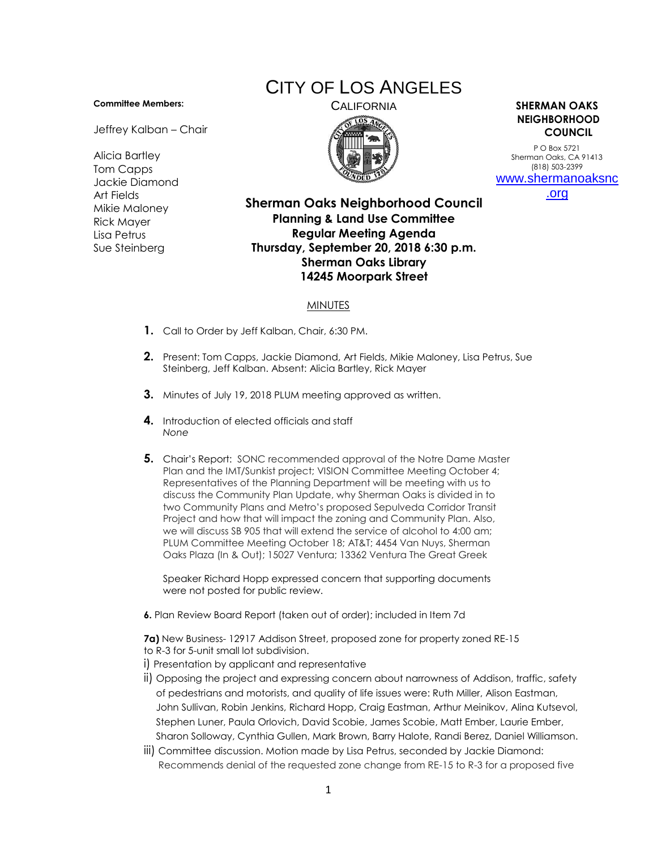## **Committee Members:**

Jeffrey Kalban – Chair

Alicia Bartley Tom Capps Jackie Diamond Art Fields Mikie Maloney Rick Mayer Lisa Petrus Sue Steinberg

## CITY OF LOS ANGELES



## CALIFORNIA **SHERMAN OAKS NEIGHBORHOOD COUNCIL**

P O Box 5721 Sherman Oaks, CA 91413 (818) 503-2399 [www.shermanoaksnc](http://www.shermanoaksnc.org/) [.org](http://www.shermanoaksnc.org/)

**Sherman Oaks Neighborhood Council Planning & Land Use Committee Regular Meeting Agenda Thursday, September 20, 2018 6:30 p.m. Sherman Oaks Library 14245 Moorpark Street**

## **MINUTES**

- **1.** Call to Order by Jeff Kalban, Chair, 6:30 PM.
- **2.** Present: Tom Capps, Jackie Diamond, Art Fields, Mikie Maloney, Lisa Petrus, Sue Steinberg, Jeff Kalban. Absent: Alicia Bartley, Rick Mayer
- **3.** Minutes of July 19, 2018 PLUM meeting approved as written.
- **4.** Introduction of elected officials and staff *None*
- **5.** Chair's Report: SONC recommended approval of the Notre Dame Master Plan and the IMT/Sunkist project; VISION Committee Meeting October 4; Representatives of the Planning Department will be meeting with us to discuss the Community Plan Update, why Sherman Oaks is divided in to two Community Plans and Metro's proposed Sepulveda Corridor Transit Project and how that will impact the zoning and Community Plan. Also, we will discuss SB 905 that will extend the service of alcohol to 4:00 am; PLUM Committee Meeting October 18; AT&T; 4454 Van Nuys, Sherman Oaks Plaza (In & Out); 15027 Ventura; 13362 Ventura The Great Greek

Speaker Richard Hopp expressed concern that supporting documents were not posted for public review.

**6.** Plan Review Board Report (taken out of order); included in Item 7d

**7a)** New Business- 12917 Addison Street, proposed zone for property zoned RE-15 to R-3 for 5-unit small lot subdivision.

- i) Presentation by applicant and representative
- ii) Opposing the project and expressing concern about narrowness of Addison, traffic, safety of pedestrians and motorists, and quality of life issues were: Ruth Miller, Alison Eastman, John Sullivan, Robin Jenkins, Richard Hopp, Craig Eastman, Arthur Meinikov, Alina Kutsevol, Stephen Luner, Paula Orlovich, David Scobie, James Scobie, Matt Ember, Laurie Ember, Sharon Solloway, Cynthia Gullen, Mark Brown, Barry Halote, Randi Berez, Daniel Williamson.
- iii) Committee discussion. Motion made by Lisa Petrus, seconded by Jackie Diamond: Recommends denial of the requested zone change from RE-15 to R-3 for a proposed five